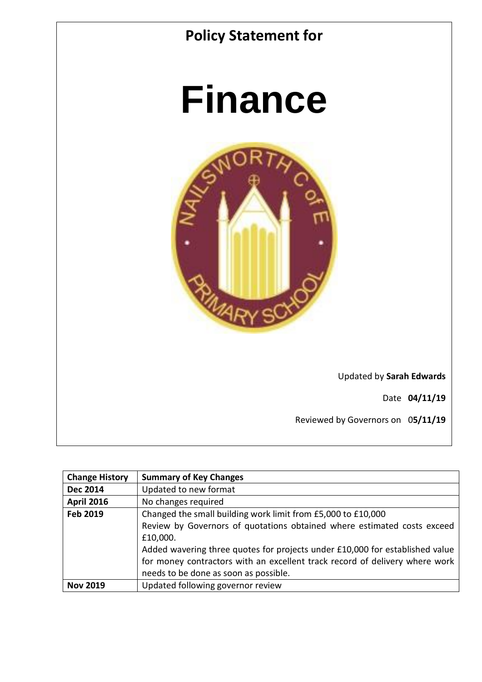

| <b>Change History</b> | <b>Summary of Key Changes</b>                                                |  |  |
|-----------------------|------------------------------------------------------------------------------|--|--|
| <b>Dec 2014</b>       | Updated to new format                                                        |  |  |
| <b>April 2016</b>     | No changes required                                                          |  |  |
| Feb 2019              | Changed the small building work limit from £5,000 to £10,000                 |  |  |
|                       | Review by Governors of quotations obtained where estimated costs exceed      |  |  |
|                       | £10,000.                                                                     |  |  |
|                       | Added wavering three quotes for projects under £10,000 for established value |  |  |
|                       | for money contractors with an excellent track record of delivery where work  |  |  |
|                       | needs to be done as soon as possible.                                        |  |  |
| <b>Nov 2019</b>       | Updated following governor review                                            |  |  |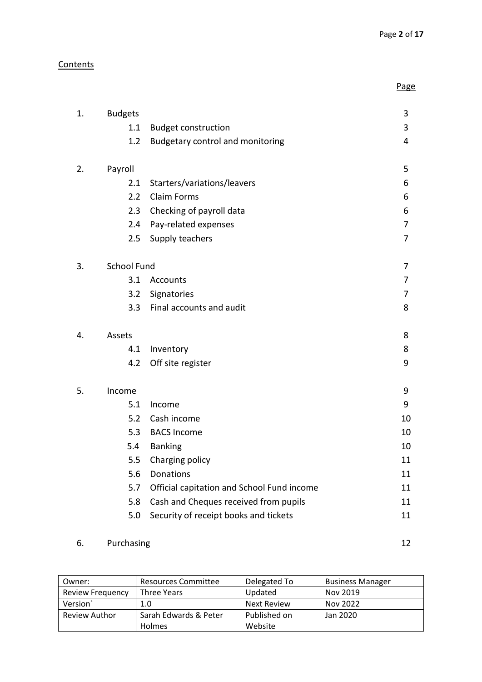# **Contents**

| 1. | <b>Budgets</b>     |                                            | 3  |
|----|--------------------|--------------------------------------------|----|
|    | 1.1                | <b>Budget construction</b>                 | 3  |
|    | 1.2                | Budgetary control and monitoring           | 4  |
| 2. | Payroll            |                                            | 5  |
|    | 2.1                | Starters/variations/leavers                | 6  |
|    | 2.2                | <b>Claim Forms</b>                         | 6  |
|    | 2.3                | Checking of payroll data                   | 6  |
|    | 2.4                | Pay-related expenses                       | 7  |
|    | 2.5                | Supply teachers                            | 7  |
| 3. | <b>School Fund</b> |                                            | 7  |
|    | 3.1                | Accounts                                   | 7  |
|    | 3.2                | Signatories                                | 7  |
|    | 3.3                | Final accounts and audit                   | 8  |
| 4. | Assets             |                                            | 8  |
|    | 4.1                | Inventory                                  | 8  |
|    | 4.2                | Off site register                          | 9  |
| 5. | Income             |                                            | 9  |
|    | 5.1                | Income                                     | 9  |
|    | 5.2                | Cash income                                | 10 |
|    | 5.3                | <b>BACS Income</b>                         | 10 |
|    | 5.4                | <b>Banking</b>                             | 10 |
|    | 5.5                | Charging policy                            | 11 |
|    | 5.6                | Donations                                  | 11 |
|    | 5.7                | Official capitation and School Fund income | 11 |
|    | 5.8                | Cash and Cheques received from pupils      | 11 |
|    | 5.0                | Security of receipt books and tickets      | 11 |

6. Purchasing 12

| Owner:                  | Resources Committee   | Delegated To       | <b>Business Manager</b> |
|-------------------------|-----------------------|--------------------|-------------------------|
| <b>Review Frequency</b> | Three Years           | Updated            | Nov 2019                |
| Version <sup>'</sup>    | 1.0                   | <b>Next Review</b> | Nov 2022                |
| <b>Review Author</b>    | Sarah Edwards & Peter | Published on       | Jan 2020                |
|                         | Holmes                | Website            |                         |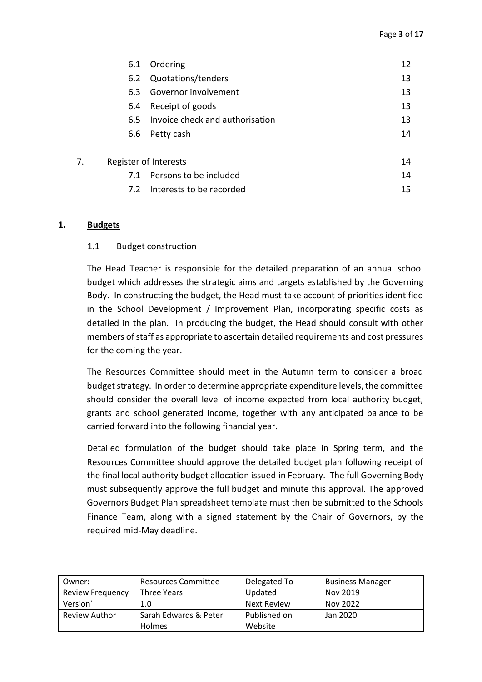|    |     | 6.1 Ordering                    | 12 |
|----|-----|---------------------------------|----|
|    |     | 6.2 Quotations/tenders          | 13 |
|    | 6.3 | Governor involvement            | 13 |
|    | 6.4 | Receipt of goods                | 13 |
|    | 6.5 | Invoice check and authorisation | 13 |
|    | 6.6 | Petty cash                      | 14 |
|    |     |                                 |    |
| 7. |     | Register of Interests           | 14 |
|    | 7.1 | Persons to be included          | 14 |
|    | 7.2 | Interests to be recorded        | 15 |

## **1. Budgets**

## 1.1 Budget construction

The Head Teacher is responsible for the detailed preparation of an annual school budget which addresses the strategic aims and targets established by the Governing Body. In constructing the budget, the Head must take account of priorities identified in the School Development / Improvement Plan, incorporating specific costs as detailed in the plan. In producing the budget, the Head should consult with other members of staff as appropriate to ascertain detailed requirements and cost pressures for the coming the year.

The Resources Committee should meet in the Autumn term to consider a broad budget strategy. In order to determine appropriate expenditure levels, the committee should consider the overall level of income expected from local authority budget, grants and school generated income, together with any anticipated balance to be carried forward into the following financial year.

Detailed formulation of the budget should take place in Spring term, and the Resources Committee should approve the detailed budget plan following receipt of the final local authority budget allocation issued in February. The full Governing Body must subsequently approve the full budget and minute this approval. The approved Governors Budget Plan spreadsheet template must then be submitted to the Schools Finance Team, along with a signed statement by the Chair of Governors, by the required mid-May deadline.

| Owner:                  | Resources Committee   | Delegated To | <b>Business Manager</b> |
|-------------------------|-----------------------|--------------|-------------------------|
| <b>Review Frequency</b> | <b>Three Years</b>    | Updated      | Nov 2019                |
| Version <sup>'</sup>    | 1.0                   | Next Review  | Nov 2022                |
| <b>Review Author</b>    | Sarah Edwards & Peter | Published on | Jan 2020                |
|                         | <b>Holmes</b>         | Website      |                         |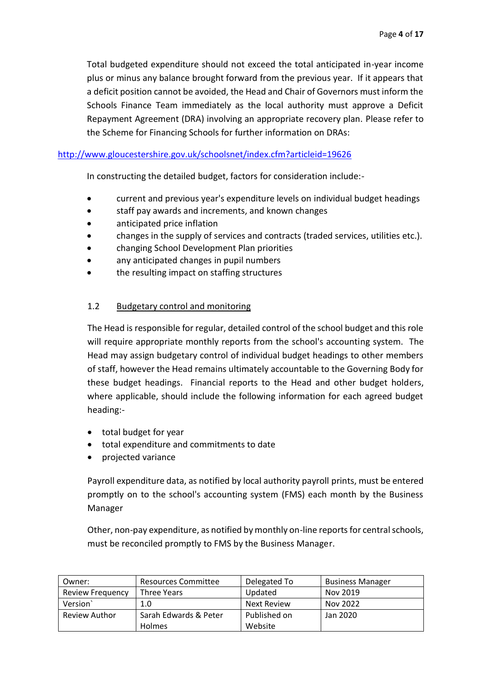Total budgeted expenditure should not exceed the total anticipated in-year income plus or minus any balance brought forward from the previous year. If it appears that a deficit position cannot be avoided, the Head and Chair of Governors must inform the Schools Finance Team immediately as the local authority must approve a Deficit Repayment Agreement (DRA) involving an appropriate recovery plan. Please refer to the Scheme for Financing Schools for further information on DRAs:

## <http://www.gloucestershire.gov.uk/schoolsnet/index.cfm?articleid=19626>

In constructing the detailed budget, factors for consideration include:-

- current and previous year's expenditure levels on individual budget headings
- staff pay awards and increments, and known changes
- anticipated price inflation
- changes in the supply of services and contracts (traded services, utilities etc.).
- changing School Development Plan priorities
- any anticipated changes in pupil numbers
- the resulting impact on staffing structures

## 1.2 Budgetary control and monitoring

The Head is responsible for regular, detailed control of the school budget and this role will require appropriate monthly reports from the school's accounting system. The Head may assign budgetary control of individual budget headings to other members of staff, however the Head remains ultimately accountable to the Governing Body for these budget headings. Financial reports to the Head and other budget holders, where applicable, should include the following information for each agreed budget heading:-

- total budget for year
- total expenditure and commitments to date
- projected variance

Payroll expenditure data, as notified by local authority payroll prints, must be entered promptly on to the school's accounting system (FMS) each month by the Business Manager

Other, non-pay expenditure, as notified by monthly on-line reports for central schools, must be reconciled promptly to FMS by the Business Manager.

| Owner:                  | Resources Committee   | Delegated To | <b>Business Manager</b> |
|-------------------------|-----------------------|--------------|-------------------------|
| <b>Review Frequency</b> | <b>Three Years</b>    | Updated      | Nov 2019                |
| Version                 | 1.0                   | Next Review  | Nov 2022                |
| Review Author           | Sarah Edwards & Peter | Published on | Jan 2020                |
|                         | Holmes                | Website      |                         |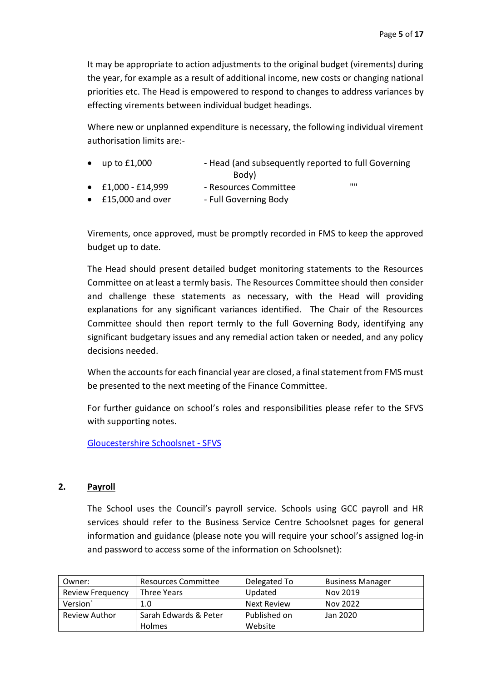It may be appropriate to action adjustments to the original budget (virements) during the year, for example as a result of additional income, new costs or changing national priorities etc. The Head is empowered to respond to changes to address variances by effecting virements between individual budget headings.

Where new or unplanned expenditure is necessary, the following individual virement authorisation limits are:-

| $\bullet$ up to £1,000     | - Head (and subsequently reported to full Governing |              |
|----------------------------|-----------------------------------------------------|--------------|
|                            | Body)                                               |              |
| $\bullet$ £1,000 - £14,999 | - Resources Committee                               | $\mathbf{H}$ |
| $\bullet$ £15,000 and over | - Full Governing Body                               |              |
|                            |                                                     |              |

Virements, once approved, must be promptly recorded in FMS to keep the approved budget up to date.

The Head should present detailed budget monitoring statements to the Resources Committee on at least a termly basis. The Resources Committee should then consider and challenge these statements as necessary, with the Head will providing explanations for any significant variances identified. The Chair of the Resources Committee should then report termly to the full Governing Body, identifying any significant budgetary issues and any remedial action taken or needed, and any policy decisions needed.

When the accounts for each financial year are closed, a final statement from FMS must be presented to the next meeting of the Finance Committee.

For further guidance on school's roles and responsibilities please refer to the SFVS with supporting notes.

[Gloucestershire Schoolsnet -](http://www.gloucestershire.gov.uk/schoolsnet/index.cfm?articleid=20622) SFVS

#### **2. Payroll**

The School uses the Council's payroll service. Schools using GCC payroll and HR services should refer to the Business Service Centre Schoolsnet pages for general information and guidance (please note you will require your school's assigned log-in and password to access some of the information on Schoolsnet):

| Owner:                  | Resources Committee   | Delegated To | <b>Business Manager</b> |
|-------------------------|-----------------------|--------------|-------------------------|
| <b>Review Frequency</b> | <b>Three Years</b>    | Updated      | Nov 2019                |
| Version                 | 1.0                   | Next Review  | Nov 2022                |
| <b>Review Author</b>    | Sarah Edwards & Peter | Published on | Jan 2020                |
|                         | Holmes                | Website      |                         |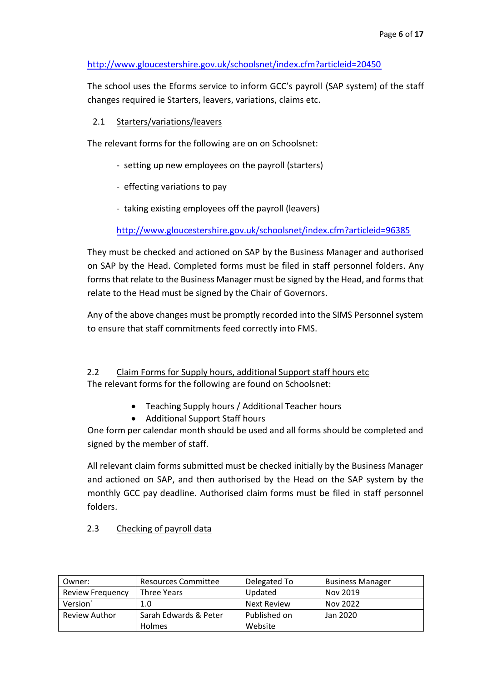## <http://www.gloucestershire.gov.uk/schoolsnet/index.cfm?articleid=20450>

The school uses the Eforms service to inform GCC's payroll (SAP system) of the staff changes required ie Starters, leavers, variations, claims etc.

## 2.1 Starters/variations/leavers

The relevant forms for the following are on on Schoolsnet:

- setting up new employees on the payroll (starters)
- effecting variations to pay
- taking existing employees off the payroll (leavers)

[http://www.gloucestershire.gov.uk/schoolsnet/index.cfm?articleid=96385](http://www.gloucestershire.gov.uk/schoolsnet/index.cfm?articleid=96385%20)

They must be checked and actioned on SAP by the Business Manager and authorised on SAP by the Head. Completed forms must be filed in staff personnel folders. Any forms that relate to the Business Manager must be signed by the Head, and forms that relate to the Head must be signed by the Chair of Governors.

Any of the above changes must be promptly recorded into the SIMS Personnel system to ensure that staff commitments feed correctly into FMS.

2.2 Claim Forms for Supply hours, additional Support staff hours etc The relevant forms for the following are found on Schoolsnet:

- Teaching Supply hours / Additional Teacher hours
- Additional Support Staff hours

One form per calendar month should be used and all forms should be completed and signed by the member of staff.

All relevant claim forms submitted must be checked initially by the Business Manager and actioned on SAP, and then authorised by the Head on the SAP system by the monthly GCC pay deadline. Authorised claim forms must be filed in staff personnel folders.

2.3 Checking of payroll data

| Owner:                  | Resources Committee   | Delegated To       | <b>Business Manager</b> |
|-------------------------|-----------------------|--------------------|-------------------------|
| <b>Review Frequency</b> | <b>Three Years</b>    | Updated            | Nov 2019                |
| Version                 | 1.0                   | <b>Next Review</b> | Nov 2022                |
| Review Author           | Sarah Edwards & Peter | Published on       | Jan 2020                |
|                         | Holmes                | Website            |                         |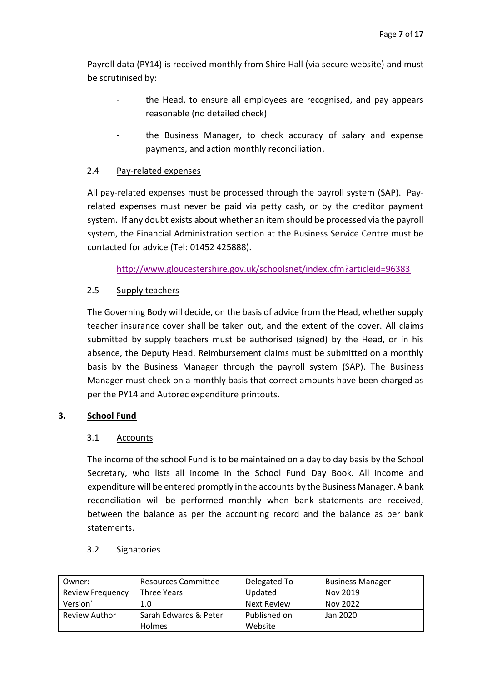Payroll data (PY14) is received monthly from Shire Hall (via secure website) and must be scrutinised by:

- the Head, to ensure all employees are recognised, and pay appears reasonable (no detailed check)
- the Business Manager, to check accuracy of salary and expense payments, and action monthly reconciliation.

## 2.4 Pay-related expenses

All pay-related expenses must be processed through the payroll system (SAP). Payrelated expenses must never be paid via petty cash, or by the creditor payment system. If any doubt exists about whether an item should be processed via the payroll system, the Financial Administration section at the Business Service Centre must be contacted for advice (Tel: 01452 425888).

<http://www.gloucestershire.gov.uk/schoolsnet/index.cfm?articleid=96383>

## 2.5 Supply teachers

The Governing Body will decide, on the basis of advice from the Head, whether supply teacher insurance cover shall be taken out, and the extent of the cover. All claims submitted by supply teachers must be authorised (signed) by the Head, or in his absence, the Deputy Head. Reimbursement claims must be submitted on a monthly basis by the Business Manager through the payroll system (SAP). The Business Manager must check on a monthly basis that correct amounts have been charged as per the PY14 and Autorec expenditure printouts.

## **3. School Fund**

## 3.1 Accounts

The income of the school Fund is to be maintained on a day to day basis by the School Secretary, who lists all income in the School Fund Day Book. All income and expenditure will be entered promptly in the accounts by the Business Manager. A bank reconciliation will be performed monthly when bank statements are received, between the balance as per the accounting record and the balance as per bank statements.

## 3.2 Signatories

| Owner:                  | Resources Committee   | Delegated To | <b>Business Manager</b> |
|-------------------------|-----------------------|--------------|-------------------------|
| <b>Review Frequency</b> | <b>Three Years</b>    | Updated      | Nov 2019                |
| Version                 | 1.0                   | Next Review  | Nov 2022                |
| <b>Review Author</b>    | Sarah Edwards & Peter | Published on | Jan 2020                |
|                         | <b>Holmes</b>         | Website      |                         |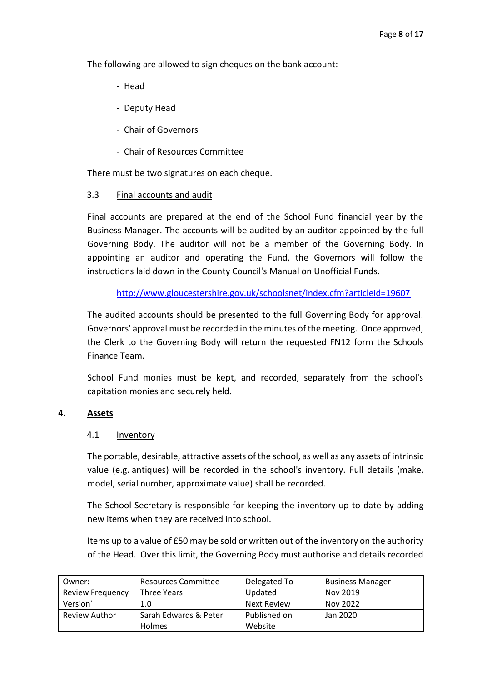The following are allowed to sign cheques on the bank account:-

- Head
- Deputy Head
- Chair of Governors
- Chair of Resources Committee

There must be two signatures on each cheque.

#### 3.3 Final accounts and audit

Final accounts are prepared at the end of the School Fund financial year by the Business Manager. The accounts will be audited by an auditor appointed by the full Governing Body. The auditor will not be a member of the Governing Body. In appointing an auditor and operating the Fund, the Governors will follow the instructions laid down in the County Council's Manual on Unofficial Funds.

<http://www.gloucestershire.gov.uk/schoolsnet/index.cfm?articleid=19607>

The audited accounts should be presented to the full Governing Body for approval. Governors' approval must be recorded in the minutes of the meeting. Once approved, the Clerk to the Governing Body will return the requested FN12 form the Schools Finance Team.

School Fund monies must be kept, and recorded, separately from the school's capitation monies and securely held.

## **4. Assets**

#### 4.1 Inventory

The portable, desirable, attractive assets of the school, as well as any assets of intrinsic value (e.g. antiques) will be recorded in the school's inventory. Full details (make, model, serial number, approximate value) shall be recorded.

The School Secretary is responsible for keeping the inventory up to date by adding new items when they are received into school.

Items up to a value of £50 may be sold or written out of the inventory on the authority of the Head. Over this limit, the Governing Body must authorise and details recorded

| Owner:                  | Resources Committee   | Delegated To | <b>Business Manager</b> |
|-------------------------|-----------------------|--------------|-------------------------|
| <b>Review Frequency</b> | <b>Three Years</b>    | Updated      | Nov 2019                |
| Version                 | 1.0                   | Next Review  | Nov 2022                |
| Review Author           | Sarah Edwards & Peter | Published on | Jan 2020                |
|                         | Holmes                | Website      |                         |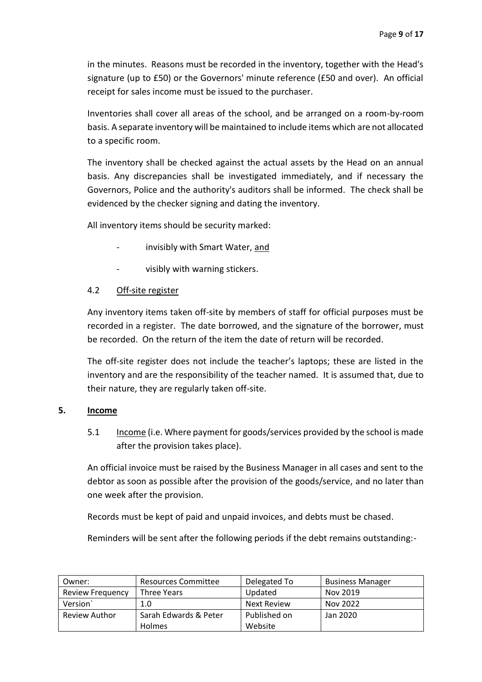in the minutes. Reasons must be recorded in the inventory, together with the Head's signature (up to £50) or the Governors' minute reference (£50 and over). An official receipt for sales income must be issued to the purchaser.

Inventories shall cover all areas of the school, and be arranged on a room-by-room basis. A separate inventory will be maintained to include items which are not allocated to a specific room.

The inventory shall be checked against the actual assets by the Head on an annual basis. Any discrepancies shall be investigated immediately, and if necessary the Governors, Police and the authority's auditors shall be informed. The check shall be evidenced by the checker signing and dating the inventory.

All inventory items should be security marked:

- invisibly with Smart Water, and
- visibly with warning stickers.

## 4.2 Off-site register

Any inventory items taken off-site by members of staff for official purposes must be recorded in a register. The date borrowed, and the signature of the borrower, must be recorded. On the return of the item the date of return will be recorded.

The off-site register does not include the teacher's laptops; these are listed in the inventory and are the responsibility of the teacher named. It is assumed that, due to their nature, they are regularly taken off-site.

#### **5. Income**

5.1 Income (i.e. Where payment for goods/services provided by the school is made after the provision takes place).

An official invoice must be raised by the Business Manager in all cases and sent to the debtor as soon as possible after the provision of the goods/service, and no later than one week after the provision.

Records must be kept of paid and unpaid invoices, and debts must be chased.

Reminders will be sent after the following periods if the debt remains outstanding:-

| Owner:                  | Resources Committee   | Delegated To | <b>Business Manager</b> |
|-------------------------|-----------------------|--------------|-------------------------|
| <b>Review Frequency</b> | <b>Three Years</b>    | Updated      | Nov 2019                |
| Version                 | 1.0                   | Next Review  | Nov 2022                |
| <b>Review Author</b>    | Sarah Edwards & Peter | Published on | Jan 2020                |
|                         | Holmes                | Website      |                         |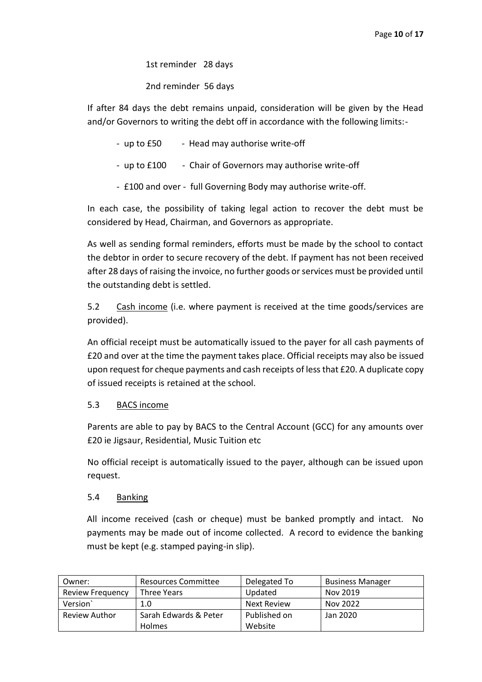1st reminder 28 days

2nd reminder 56 days

If after 84 days the debt remains unpaid, consideration will be given by the Head and/or Governors to writing the debt off in accordance with the following limits:-

- up to £50 Head may authorise write-off
- up to £100 Chair of Governors may authorise write-off
- £100 and over full Governing Body may authorise write-off.

In each case, the possibility of taking legal action to recover the debt must be considered by Head, Chairman, and Governors as appropriate.

As well as sending formal reminders, efforts must be made by the school to contact the debtor in order to secure recovery of the debt. If payment has not been received after 28 days of raising the invoice, no further goods or services must be provided until the outstanding debt is settled.

5.2 Cash income (i.e. where payment is received at the time goods/services are provided).

An official receipt must be automatically issued to the payer for all cash payments of £20 and over at the time the payment takes place. Official receipts may also be issued upon request for cheque payments and cash receipts of less that £20. A duplicate copy of issued receipts is retained at the school.

#### 5.3 BACS income

Parents are able to pay by BACS to the Central Account (GCC) for any amounts over £20 ie Jigsaur, Residential, Music Tuition etc

No official receipt is automatically issued to the payer, although can be issued upon request.

#### 5.4 Banking

All income received (cash or cheque) must be banked promptly and intact. No payments may be made out of income collected. A record to evidence the banking must be kept (e.g. stamped paying-in slip).

| Owner:                  | Resources Committee   | Delegated To   | <b>Business Manager</b> |
|-------------------------|-----------------------|----------------|-------------------------|
| <b>Review Frequency</b> | <b>Three Years</b>    | <b>Updated</b> | Nov 2019                |
| Version                 | 1.0                   | Next Review    | Nov 2022                |
| Review Author           | Sarah Edwards & Peter | Published on   | Jan 2020                |
|                         | <b>Holmes</b>         | Website        |                         |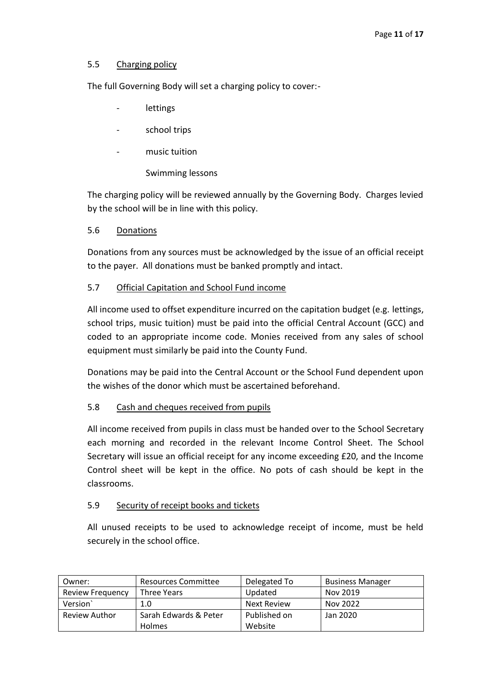## 5.5 Charging policy

The full Governing Body will set a charging policy to cover:-

- **lettings**
- school trips
- music tuition
	- Swimming lessons

The charging policy will be reviewed annually by the Governing Body. Charges levied by the school will be in line with this policy.

## 5.6 Donations

Donations from any sources must be acknowledged by the issue of an official receipt to the payer. All donations must be banked promptly and intact.

## 5.7 Official Capitation and School Fund income

All income used to offset expenditure incurred on the capitation budget (e.g. lettings, school trips, music tuition) must be paid into the official Central Account (GCC) and coded to an appropriate income code. Monies received from any sales of school equipment must similarly be paid into the County Fund.

Donations may be paid into the Central Account or the School Fund dependent upon the wishes of the donor which must be ascertained beforehand.

## 5.8 Cash and cheques received from pupils

All income received from pupils in class must be handed over to the School Secretary each morning and recorded in the relevant Income Control Sheet. The School Secretary will issue an official receipt for any income exceeding £20, and the Income Control sheet will be kept in the office. No pots of cash should be kept in the classrooms.

#### 5.9 Security of receipt books and tickets

All unused receipts to be used to acknowledge receipt of income, must be held securely in the school office.

| Owner:                  | Resources Committee   | Delegated To | <b>Business Manager</b> |
|-------------------------|-----------------------|--------------|-------------------------|
| <b>Review Frequency</b> | Three Years           | Updated      | Nov 2019                |
| Version                 | 1.0                   | Next Review  | Nov 2022                |
| <b>Review Author</b>    | Sarah Edwards & Peter | Published on | Jan 2020                |
|                         | Holmes                | Website      |                         |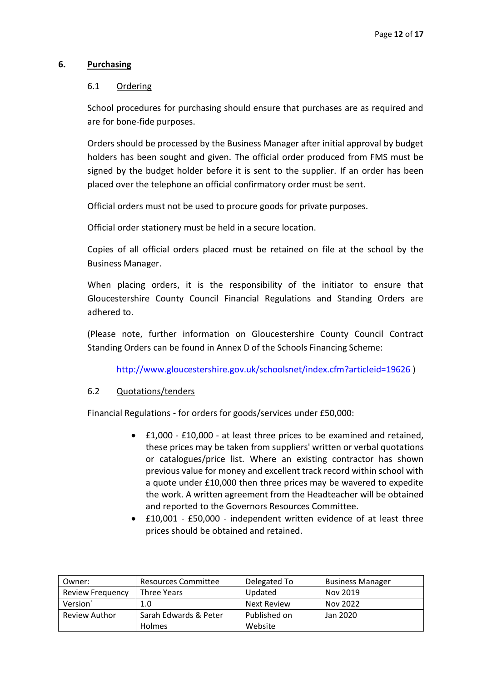## **6. Purchasing**

### 6.1 Ordering

School procedures for purchasing should ensure that purchases are as required and are for bone-fide purposes.

Orders should be processed by the Business Manager after initial approval by budget holders has been sought and given. The official order produced from FMS must be signed by the budget holder before it is sent to the supplier. If an order has been placed over the telephone an official confirmatory order must be sent.

Official orders must not be used to procure goods for private purposes.

Official order stationery must be held in a secure location.

Copies of all official orders placed must be retained on file at the school by the Business Manager.

When placing orders, it is the responsibility of the initiator to ensure that Gloucestershire County Council Financial Regulations and Standing Orders are adhered to.

(Please note, further information on Gloucestershire County Council Contract Standing Orders can be found in Annex D of the Schools Financing Scheme:

<http://www.gloucestershire.gov.uk/schoolsnet/index.cfm?articleid=19626> )

#### 6.2 Quotations/tenders

Financial Regulations - for orders for goods/services under £50,000:

- £1,000 £10,000 at least three prices to be examined and retained, these prices may be taken from suppliers' written or verbal quotations or catalogues/price list. Where an existing contractor has shown previous value for money and excellent track record within school with a quote under £10,000 then three prices may be wavered to expedite the work. A written agreement from the Headteacher will be obtained and reported to the Governors Resources Committee.
- £10,001 £50,000 independent written evidence of at least three prices should be obtained and retained.

| Owner:                  | Resources Committee   | Delegated To       | <b>Business Manager</b> |
|-------------------------|-----------------------|--------------------|-------------------------|
| <b>Review Frequency</b> | <b>Three Years</b>    | Updated            | Nov 2019                |
| Version                 | 1.0                   | <b>Next Review</b> | Nov 2022                |
| Review Author           | Sarah Edwards & Peter | Published on       | Jan 2020                |
|                         | Holmes                | Website            |                         |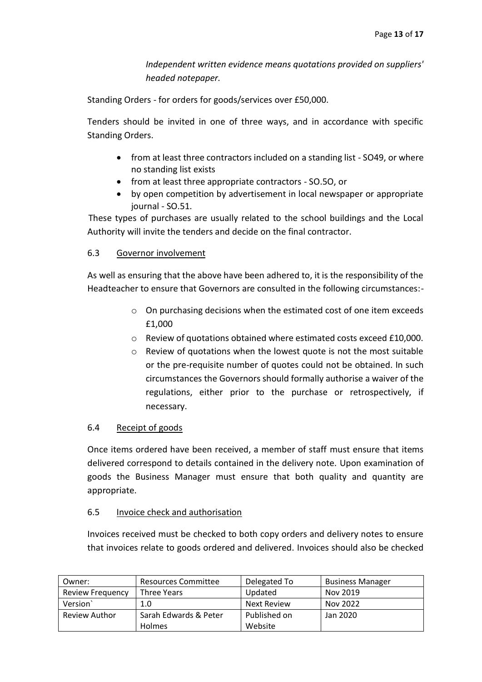*Independent written evidence means quotations provided on suppliers' headed notepaper.*

Standing Orders - for orders for goods/services over £50,000.

Tenders should be invited in one of three ways, and in accordance with specific Standing Orders.

- from at least three contractors included on a standing list SO49, or where no standing list exists
- from at least three appropriate contractors SO.5O, or
- by open competition by advertisement in local newspaper or appropriate journal - SO.51.

These types of purchases are usually related to the school buildings and the Local Authority will invite the tenders and decide on the final contractor.

## 6.3 Governor involvement

As well as ensuring that the above have been adhered to, it is the responsibility of the Headteacher to ensure that Governors are consulted in the following circumstances:-

- o On purchasing decisions when the estimated cost of one item exceeds £1,000
- $\circ$  Review of quotations obtained where estimated costs exceed £10,000.
- $\circ$  Review of quotations when the lowest quote is not the most suitable or the pre-requisite number of quotes could not be obtained. In such circumstances the Governors should formally authorise a waiver of the regulations, either prior to the purchase or retrospectively, if necessary.

#### 6.4 Receipt of goods

Once items ordered have been received, a member of staff must ensure that items delivered correspond to details contained in the delivery note. Upon examination of goods the Business Manager must ensure that both quality and quantity are appropriate.

#### 6.5 Invoice check and authorisation

Invoices received must be checked to both copy orders and delivery notes to ensure that invoices relate to goods ordered and delivered. Invoices should also be checked

| Owner:                  | Resources Committee   | Delegated To | <b>Business Manager</b> |
|-------------------------|-----------------------|--------------|-------------------------|
| <b>Review Frequency</b> | <b>Three Years</b>    | Updated      | Nov 2019                |
| Version                 | 1.0                   | Next Review  | Nov 2022                |
| <b>Review Author</b>    | Sarah Edwards & Peter | Published on | Jan 2020                |
|                         | <b>Holmes</b>         | Website      |                         |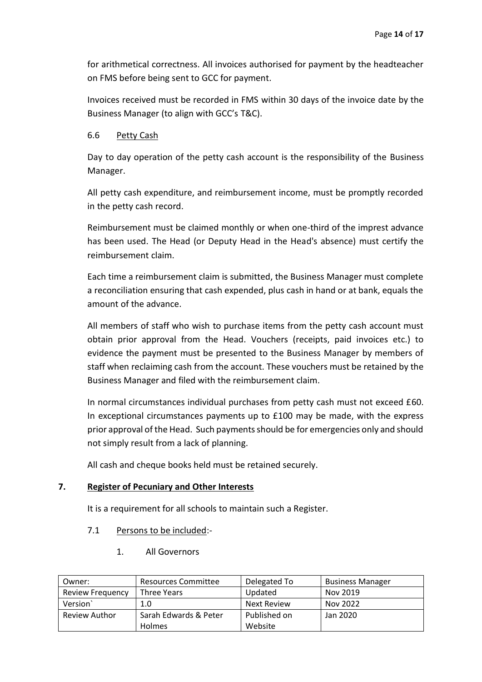for arithmetical correctness. All invoices authorised for payment by the headteacher on FMS before being sent to GCC for payment.

Invoices received must be recorded in FMS within 30 days of the invoice date by the Business Manager (to align with GCC's T&C).

## 6.6 Petty Cash

Day to day operation of the petty cash account is the responsibility of the Business Manager.

All petty cash expenditure, and reimbursement income, must be promptly recorded in the petty cash record.

Reimbursement must be claimed monthly or when one-third of the imprest advance has been used. The Head (or Deputy Head in the Head's absence) must certify the reimbursement claim.

Each time a reimbursement claim is submitted, the Business Manager must complete a reconciliation ensuring that cash expended, plus cash in hand or at bank, equals the amount of the advance.

All members of staff who wish to purchase items from the petty cash account must obtain prior approval from the Head. Vouchers (receipts, paid invoices etc.) to evidence the payment must be presented to the Business Manager by members of staff when reclaiming cash from the account. These vouchers must be retained by the Business Manager and filed with the reimbursement claim.

In normal circumstances individual purchases from petty cash must not exceed £60. In exceptional circumstances payments up to £100 may be made, with the express prior approval of the Head. Such payments should be for emergencies only and should not simply result from a lack of planning.

All cash and cheque books held must be retained securely.

#### **7. Register of Pecuniary and Other Interests**

It is a requirement for all schools to maintain such a Register.

- 7.1 Persons to be included:-
	- 1. All Governors

| Owner:                  | Resources Committee   | Delegated To | <b>Business Manager</b> |
|-------------------------|-----------------------|--------------|-------------------------|
| <b>Review Frequency</b> | Three Years           | Updated      | Nov 2019                |
| Version                 | 1.0                   | Next Review  | Nov 2022                |
| <b>Review Author</b>    | Sarah Edwards & Peter | Published on | Jan 2020                |
|                         | Holmes                | Website      |                         |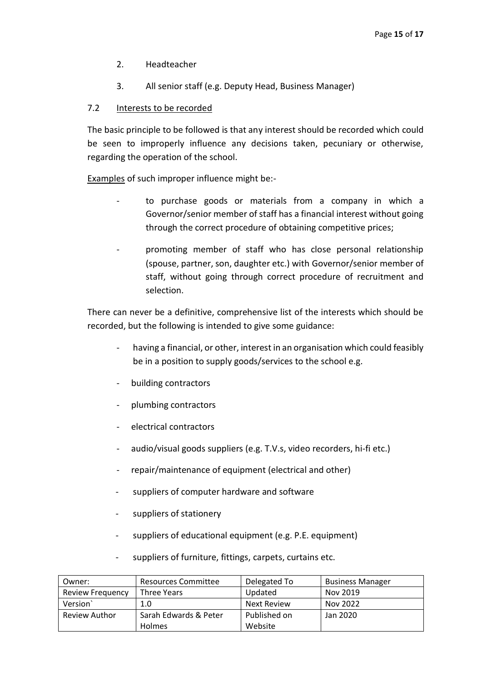- 2. Headteacher
- 3. All senior staff (e.g. Deputy Head, Business Manager)

## 7.2 Interests to be recorded

The basic principle to be followed is that any interest should be recorded which could be seen to improperly influence any decisions taken, pecuniary or otherwise, regarding the operation of the school.

Examples of such improper influence might be:-

- to purchase goods or materials from a company in which a Governor/senior member of staff has a financial interest without going through the correct procedure of obtaining competitive prices;
- promoting member of staff who has close personal relationship (spouse, partner, son, daughter etc.) with Governor/senior member of staff, without going through correct procedure of recruitment and selection.

There can never be a definitive, comprehensive list of the interests which should be recorded, but the following is intended to give some guidance:

- having a financial, or other, interest in an organisation which could feasibly be in a position to supply goods/services to the school e.g.
- building contractors
- plumbing contractors
- electrical contractors
- audio/visual goods suppliers (e.g. T.V.s, video recorders, hi-fi etc.)
- repair/maintenance of equipment (electrical and other)
- suppliers of computer hardware and software
- suppliers of stationery
- suppliers of educational equipment (e.g. P.E. equipment)
- suppliers of furniture, fittings, carpets, curtains etc.

| Owner:                  | Resources Committee   | Delegated To | <b>Business Manager</b> |
|-------------------------|-----------------------|--------------|-------------------------|
| <b>Review Frequency</b> | <b>Three Years</b>    | Updated      | Nov 2019                |
| Version                 | 1.0                   | Next Review  | Nov 2022                |
| <b>Review Author</b>    | Sarah Edwards & Peter | Published on | Jan 2020                |
|                         | Holmes                | Website      |                         |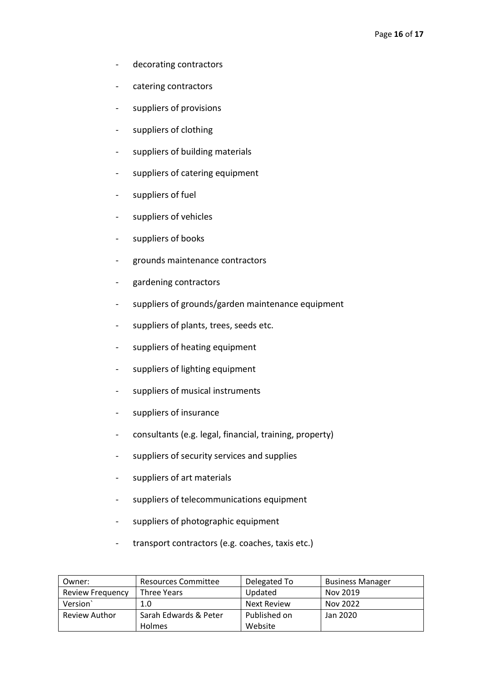- decorating contractors
- catering contractors
- suppliers of provisions
- suppliers of clothing
- suppliers of building materials
- suppliers of catering equipment
- suppliers of fuel
- suppliers of vehicles
- suppliers of books
- grounds maintenance contractors
- gardening contractors
- suppliers of grounds/garden maintenance equipment
- suppliers of plants, trees, seeds etc.
- suppliers of heating equipment
- suppliers of lighting equipment
- suppliers of musical instruments
- suppliers of insurance
- consultants (e.g. legal, financial, training, property)
- suppliers of security services and supplies
- suppliers of art materials
- suppliers of telecommunications equipment
- suppliers of photographic equipment
- transport contractors (e.g. coaches, taxis etc.)

| Owner:                  | Resources Committee   | Delegated To | <b>Business Manager</b> |
|-------------------------|-----------------------|--------------|-------------------------|
| <b>Review Frequency</b> | <b>Three Years</b>    | Updated      | Nov 2019                |
| Version <sup>'</sup>    | 1.0                   | Next Review  | Nov 2022                |
| Review Author           | Sarah Edwards & Peter | Published on | Jan 2020                |
|                         | <b>Holmes</b>         | Website      |                         |